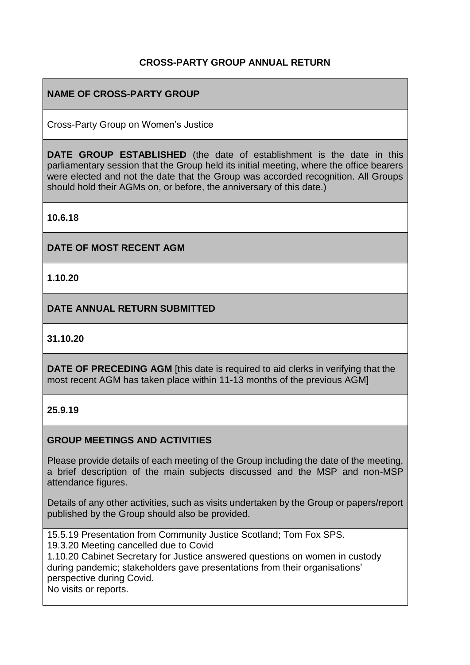## **CROSS-PARTY GROUP ANNUAL RETURN**

## **NAME OF CROSS-PARTY GROUP**

Cross-Party Group on Women's Justice

**DATE GROUP ESTABLISHED** (the date of establishment is the date in this parliamentary session that the Group held its initial meeting, where the office bearers were elected and not the date that the Group was accorded recognition. All Groups should hold their AGMs on, or before, the anniversary of this date.)

**10.6.18**

### **DATE OF MOST RECENT AGM**

**1.10.20**

**DATE ANNUAL RETURN SUBMITTED**

### **31.10.20**

**DATE OF PRECEDING AGM** [this date is required to aid clerks in verifying that the most recent AGM has taken place within 11-13 months of the previous AGM]

#### **25.9.19**

## **GROUP MEETINGS AND ACTIVITIES**

Please provide details of each meeting of the Group including the date of the meeting, a brief description of the main subjects discussed and the MSP and non-MSP attendance figures.

Details of any other activities, such as visits undertaken by the Group or papers/report published by the Group should also be provided.

15.5.19 Presentation from Community Justice Scotland; Tom Fox SPS.

19.3.20 Meeting cancelled due to Covid

1.10.20 Cabinet Secretary for Justice answered questions on women in custody during pandemic; stakeholders gave presentations from their organisations' perspective during Covid.

No visits or reports.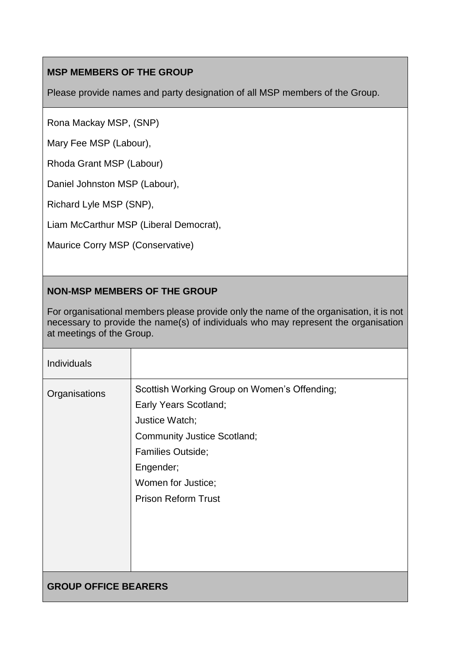# **MSP MEMBERS OF THE GROUP**

Please provide names and party designation of all MSP members of the Group.

Rona Mackay MSP, (SNP)

Mary Fee MSP (Labour),

Rhoda Grant MSP (Labour)

Daniel Johnston MSP (Labour),

Richard Lyle MSP (SNP),

Liam McCarthur MSP (Liberal Democrat),

Maurice Corry MSP (Conservative)

# **NON-MSP MEMBERS OF THE GROUP**

For organisational members please provide only the name of the organisation, it is not necessary to provide the name(s) of individuals who may represent the organisation at meetings of the Group.

| <b>Individuals</b>          |                                                                                                                                                                                                                            |
|-----------------------------|----------------------------------------------------------------------------------------------------------------------------------------------------------------------------------------------------------------------------|
| Organisations               | Scottish Working Group on Women's Offending;<br><b>Early Years Scotland;</b><br>Justice Watch;<br><b>Community Justice Scotland;</b><br>Families Outside;<br>Engender;<br>Women for Justice;<br><b>Prison Reform Trust</b> |
| <b>GROUP OFFICE BEARERS</b> |                                                                                                                                                                                                                            |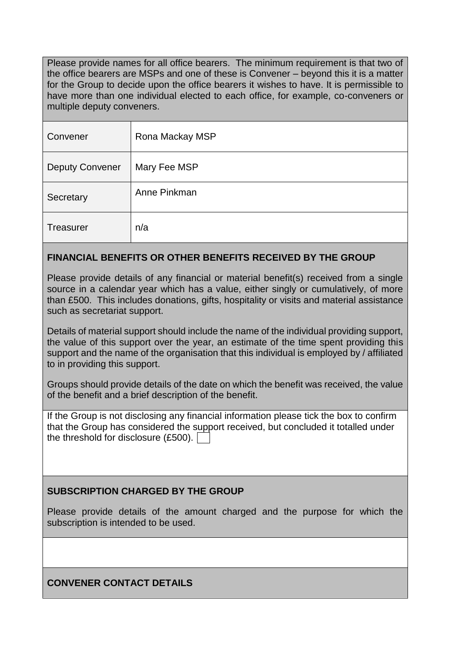Please provide names for all office bearers. The minimum requirement is that two of the office bearers are MSPs and one of these is Convener – beyond this it is a matter for the Group to decide upon the office bearers it wishes to have. It is permissible to have more than one individual elected to each office, for example, co-conveners or multiple deputy conveners.

| Convener               | Rona Mackay MSP |
|------------------------|-----------------|
| <b>Deputy Convener</b> | Mary Fee MSP    |
| Secretary              | Anne Pinkman    |
| Treasurer              | n/a             |

## **FINANCIAL BENEFITS OR OTHER BENEFITS RECEIVED BY THE GROUP**

Please provide details of any financial or material benefit(s) received from a single source in a calendar year which has a value, either singly or cumulatively, of more than £500. This includes donations, gifts, hospitality or visits and material assistance such as secretariat support.

Details of material support should include the name of the individual providing support, the value of this support over the year, an estimate of the time spent providing this support and the name of the organisation that this individual is employed by / affiliated to in providing this support.

Groups should provide details of the date on which the benefit was received, the value of the benefit and a brief description of the benefit.

If the Group is not disclosing any financial information please tick the box to confirm that the Group has considered the support received, but concluded it totalled under the threshold for disclosure (£500).

## **SUBSCRIPTION CHARGED BY THE GROUP**

Please provide details of the amount charged and the purpose for which the subscription is intended to be used.

## **CONVENER CONTACT DETAILS**